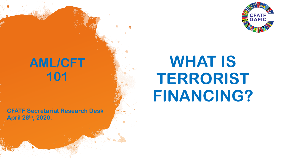

## **AML/CFT 101**

**CFATF Secretariat Research Desk April 28th, 2020.**

# **WHAT IS TERRORIST FINANCING?**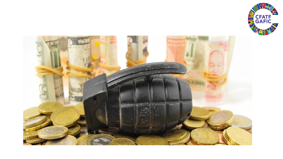

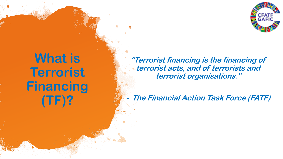

## **What is Terrorist Financing (TF)?**

**"Terrorist financing is the financing of terrorist acts, and of terrorists and terrorist organisations."**

**-The Financial Action Task Force (FATF)**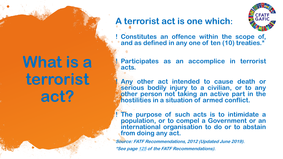# **What is a terrorist act?**

#### **A terrorist act is one which:**



**! Constitutes an offence within the scope of, and as defined in any one of ten (10) treaties.\***

**! Participates as an accomplice in terrorist acts.**

**! Any other act intended to cause death or serious bodily injury to a civilian, or to any other person not taking an active part in the hostilities in a situation of armed conflict.**

**! The purpose of such acts is to intimidate a population, or to compel a Government or an international organisation to do or to abstain from doing any act.**

**Source: FATF Recommendations, 2012 (Updated June 2019).**

**\*See page [125](about:blank) of the FATF Recommendations).**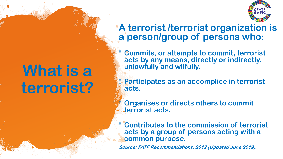# What is a **terrorist?**

#### **A terrorist /terrorist organization is a person/group of persons who:**

**! Commits, or attempts to commit, terrorist acts by any means, directly or indirectly, unlawfully and wilfully.**

**! Participates as an accomplice in terrorist acts.** 

**! Organises or directs others to commit terrorist acts.**

**! Contributes to the commission of terrorist acts by a group of persons acting with a common purpose.** 

**Source: FATF Recommendations, 2012 (Updated June 2019).**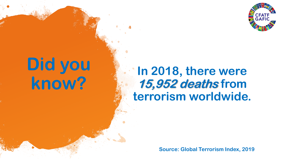

# **Did you know?**

### **In 2018, there were 15,952 deaths from terrorism worldwide.**

**Source: Global Terrorism Index, 2019**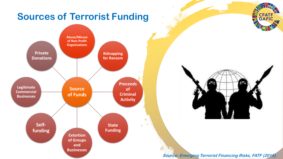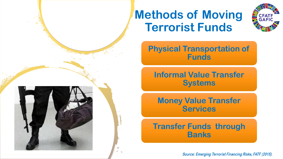



**Physical Transportation of Funds** 

**Informal Value Transfer Systems** 

**Money Value Transfer Services** 

#### **Transfer Funds through Banks**

**Source: Emerging Terrorist Financing Risks, FATF (2015).**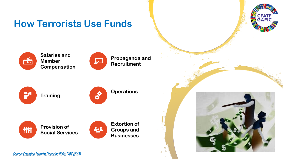### **How Terrorists Use Funds**



**Salaries and Member Compensation** 



**Propaganda and Recruitment**







**Operations**



**Provision of Social Services** 



 $\epsilon_{\alpha}$ 擔



Source: Emerging Terrorist Financing Risks, FATF (2015).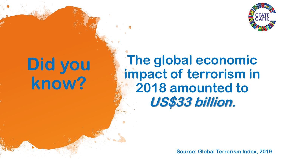

# **Did you know?**

## **The global economic impact of terrorism in 2018 amounted to US\$33 billion.**

**Source: Global Terrorism Index, 2019**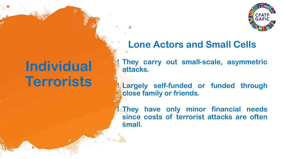

## **Individual Terrorists**

**Lone Actors and Small Cells**

**! They carry out small-scale, asymmetric attacks.**

**! Largely self-funded or funded through close family or friends.**

**! They have only minor financial needs since costs of terrorist attacks are often small.**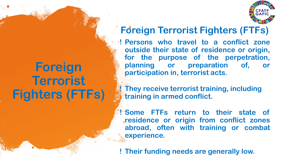## **Foreign Terrorist Fighters (FTFs)**

### **Foreign Terrorist Fighters (FTFs)**

**! Persons who travel to a conflict zone outside their state of residence or origin, for the purpose of the perpetration, planning or preparation of, or participation in, terrorist acts.**

**! They receive terrorist training, including training in armed conflict.** 

**! Some FTFs return to their state of residence or origin from conflict zones abroad, often with training or combat experience.**

**! Their funding needs are generally low.**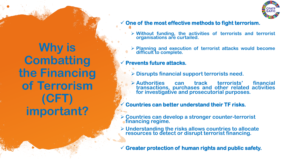

## **Why is Combatting the Financing of Terrorism (CFT) important?**

#### ✓ **One of the most effective methods to fight terrorism.**

- ➢ **Without funding, the activities of terrorists and terrorist organisations are curtailed.**
- ➢ **Planning and execution of terrorist attacks would become difficult to complete.**

#### ✓ **Prevents future attacks.**

- ➢ **Disrupts financial support terrorists need.**
- ➢ **Authorities can track terrorists' financial transactions, purchases and other related activities for investigative and prosecutorial purposes.**

#### ✓ **Countries can better understand their TF risks.**

- ➢ **Countries can develop a stronger counter-terrorist financing regime.**
- ➢ **Understanding the risks allows countries to allocate resources to detect or disrupt terrorist financing.**
- ✓ **Greater protection of human rights and public safety.**